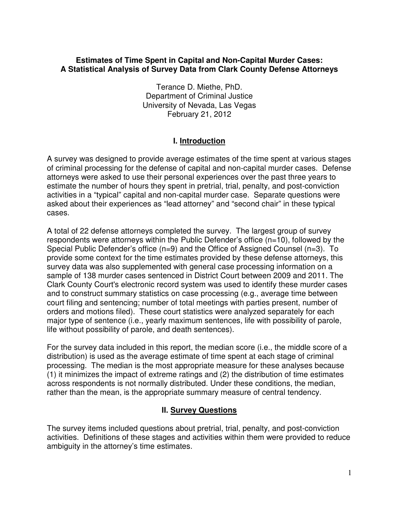#### **Estimates of Time Spent in Capital and Non-Capital Murder Cases: A Statistical Analysis of Survey Data from Clark County Defense Attorneys**

Terance D. Miethe, PhD. Department of Criminal Justice University of Nevada, Las Vegas February 21, 2012

## **I. Introduction**

A survey was designed to provide average estimates of the time spent at various stages of criminal processing for the defense of capital and non-capital murder cases. Defense attorneys were asked to use their personal experiences over the past three years to estimate the number of hours they spent in pretrial, trial, penalty, and post-conviction activities in a "typical" capital and non-capital murder case. Separate questions were asked about their experiences as "lead attorney" and "second chair" in these typical cases.

A total of 22 defense attorneys completed the survey. The largest group of survey respondents were attorneys within the Public Defender's office (n=10), followed by the Special Public Defender's office (n=9) and the Office of Assigned Counsel (n=3). To provide some context for the time estimates provided by these defense attorneys, this survey data was also supplemented with general case processing information on a sample of 138 murder cases sentenced in District Court between 2009 and 2011. The Clark County Court's electronic record system was used to identify these murder cases and to construct summary statistics on case processing (e.g., average time between court filing and sentencing; number of total meetings with parties present, number of orders and motions filed). These court statistics were analyzed separately for each major type of sentence (i.e., yearly maximum sentences, life with possibility of parole, life without possibility of parole, and death sentences).

For the survey data included in this report, the median score (i.e., the middle score of a distribution) is used as the average estimate of time spent at each stage of criminal processing. The median is the most appropriate measure for these analyses because (1) it minimizes the impact of extreme ratings and (2) the distribution of time estimates across respondents is not normally distributed. Under these conditions, the median, rather than the mean, is the appropriate summary measure of central tendency.

# **II. Survey Questions**

The survey items included questions about pretrial, trial, penalty, and post-conviction activities. Definitions of these stages and activities within them were provided to reduce ambiguity in the attorney's time estimates.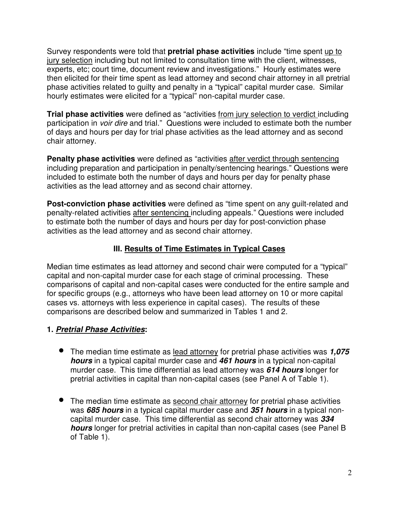Survey respondents were told that **pretrial phase activities** include "time spent up to jury selection including but not limited to consultation time with the client, witnesses, experts, etc; court time, document review and investigations." Hourly estimates were then elicited for their time spent as lead attorney and second chair attorney in all pretrial phase activities related to guilty and penalty in a "typical" capital murder case. Similar hourly estimates were elicited for a "typical" non-capital murder case.

**Trial phase activities** were defined as "activities from jury selection to verdict including participation in voir dire and trial." Questions were included to estimate both the number of days and hours per day for trial phase activities as the lead attorney and as second chair attorney.

**Penalty phase activities** were defined as "activities after verdict through sentencing including preparation and participation in penalty/sentencing hearings." Questions were included to estimate both the number of days and hours per day for penalty phase activities as the lead attorney and as second chair attorney.

**Post-conviction phase activities** were defined as "time spent on any guilt-related and penalty-related activities after sentencing including appeals." Questions were included to estimate both the number of days and hours per day for post-conviction phase activities as the lead attorney and as second chair attorney.

## **III. Results of Time Estimates in Typical Cases**

Median time estimates as lead attorney and second chair were computed for a "typical" capital and non-capital murder case for each stage of criminal processing. These comparisons of capital and non-capital cases were conducted for the entire sample and for specific groups (e.g., attorneys who have been lead attorney on 10 or more capital cases vs. attorneys with less experience in capital cases). The results of these comparisons are described below and summarized in Tables 1 and 2.

### **1. Pretrial Phase Activities:**

- The median time estimate as lead attorney for pretrial phase activities was **1,075 hours** in a typical capital murder case and **461 hours** in a typical non-capital murder case. This time differential as lead attorney was **614 hours** longer for pretrial activities in capital than non-capital cases (see Panel A of Table 1).
- The median time estimate as second chair attorney for pretrial phase activities was **685 hours** in a typical capital murder case and **351 hours** in a typical noncapital murder case. This time differential as second chair attorney was **334 hours** longer for pretrial activities in capital than non-capital cases (see Panel B of Table 1).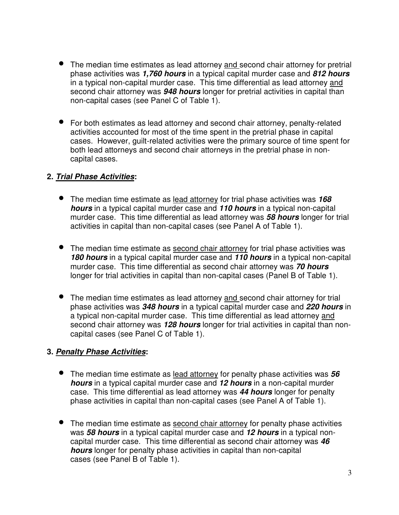- The median time estimates as lead attorney and second chair attorney for pretrial phase activities was **1,760 hours** in a typical capital murder case and **812 hours** in a typical non-capital murder case. This time differential as lead attorney and second chair attorney was **948 hours** longer for pretrial activities in capital than non-capital cases (see Panel C of Table 1).
- For both estimates as lead attorney and second chair attorney, penalty-related activities accounted for most of the time spent in the pretrial phase in capital cases. However, guilt-related activities were the primary source of time spent for both lead attorneys and second chair attorneys in the pretrial phase in noncapital cases.

## **2. Trial Phase Activities:**

- The median time estimate as lead attorney for trial phase activities was **<sup>168</sup> hours** in a typical capital murder case and **110 hours** in a typical non-capital murder case. This time differential as lead attorney was **58 hours** longer for trial activities in capital than non-capital cases (see Panel A of Table 1).
- The median time estimate as second chair attorney for trial phase activities was **180 hours** in a typical capital murder case and **110 hours** in a typical non-capital murder case. This time differential as second chair attorney was **70 hours** longer for trial activities in capital than non-capital cases (Panel B of Table 1).
- The median time estimates as lead attorney and second chair attorney for trial phase activities was **348 hours** in a typical capital murder case and **220 hours** in a typical non-capital murder case. This time differential as lead attorney and second chair attorney was **128 hours** longer for trial activities in capital than noncapital cases (see Panel C of Table 1).

### **3. Penalty Phase Activities:**

- The median time estimate as lead attorney for penalty phase activities was **<sup>56</sup> hours** in a typical capital murder case and **12 hours** in a non-capital murder case. This time differential as lead attorney was **44 hours** longer for penalty phase activities in capital than non-capital cases (see Panel A of Table 1).
- The median time estimate as second chair attorney for penalty phase activities was **58 hours** in a typical capital murder case and **12 hours** in a typical noncapital murder case. This time differential as second chair attorney was **46 hours** longer for penalty phase activities in capital than non-capital cases (see Panel B of Table 1).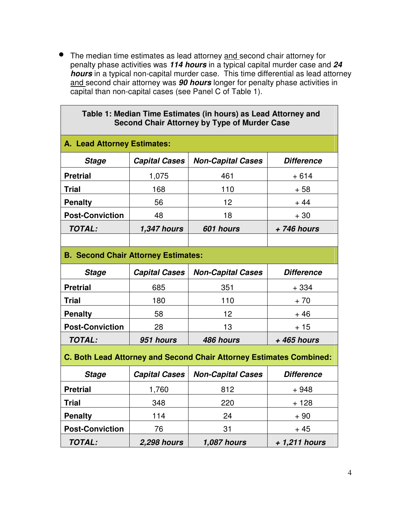• The median time estimates as lead attorney and second chair attorney for penalty phase activities was **114 hours** in a typical capital murder case and **24 hours** in a typical non-capital murder case. This time differential as lead attorney and second chair attorney was **90 hours** longer for penalty phase activities in capital than non-capital cases (see Panel C of Table 1).

 $\overline{\phantom{a}}$ 

| Table 1: Median Time Estimates (in hours) as Lead Attorney and<br><b>Second Chair Attorney by Type of Murder Case</b> |                      |                          |                   |  |  |  |
|-----------------------------------------------------------------------------------------------------------------------|----------------------|--------------------------|-------------------|--|--|--|
| A. Lead Attorney Estimates:                                                                                           |                      |                          |                   |  |  |  |
| <b>Stage</b>                                                                                                          | <b>Capital Cases</b> | <b>Non-Capital Cases</b> | <b>Difference</b> |  |  |  |
| <b>Pretrial</b>                                                                                                       | 1,075                | 461                      | $+614$            |  |  |  |
| <b>Trial</b>                                                                                                          | 168                  | 110                      | $+58$             |  |  |  |
| <b>Penalty</b>                                                                                                        | 56                   | 12                       | $+44$             |  |  |  |
| <b>Post-Conviction</b>                                                                                                | 48                   | 18                       | $+30$             |  |  |  |
| <b>TOTAL:</b>                                                                                                         | <b>1,347 hours</b>   | 601 hours                | +746 hours        |  |  |  |
|                                                                                                                       |                      |                          |                   |  |  |  |
| <b>B. Second Chair Attorney Estimates:</b>                                                                            |                      |                          |                   |  |  |  |
| <b>Stage</b>                                                                                                          | <b>Capital Cases</b> | <b>Non-Capital Cases</b> | <b>Difference</b> |  |  |  |
| <b>Pretrial</b>                                                                                                       | 685                  | 351                      | $+334$            |  |  |  |
| <b>Trial</b>                                                                                                          | 180                  | 110                      | $+70$             |  |  |  |
| <b>Penalty</b>                                                                                                        | 58                   | 12                       | $+46$             |  |  |  |
| <b>Post-Conviction</b>                                                                                                | 28                   | 13                       | $+15$             |  |  |  |
| <b>TOTAL:</b>                                                                                                         | 951 hours            | 486 hours                | + 465 hours       |  |  |  |
| C. Both Lead Attorney and Second Chair Attorney Estimates Combined:                                                   |                      |                          |                   |  |  |  |
| <b>Stage</b>                                                                                                          | <b>Capital Cases</b> | <b>Non-Capital Cases</b> | <b>Difference</b> |  |  |  |
| <b>Pretrial</b>                                                                                                       | 1,760                | 812                      | $+948$            |  |  |  |
| <b>Trial</b>                                                                                                          | 348                  | 220                      | $+128$            |  |  |  |
| <b>Penalty</b>                                                                                                        | 114                  | 24                       | $+90$             |  |  |  |
| <b>Post-Conviction</b>                                                                                                | 76                   | 31                       | $+45$             |  |  |  |
| TOTAL:                                                                                                                | <b>2,298 hours</b>   | <b>1,087 hours</b>       | + 1,211 hours     |  |  |  |

 $\overline{\phantom{a}}$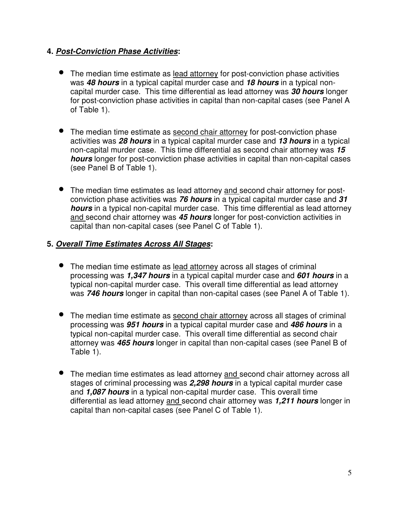## **4. Post-Conviction Phase Activities:**

- The median time estimate as lead attorney for post-conviction phase activities was **48 hours** in a typical capital murder case and **18 hours** in a typical noncapital murder case. This time differential as lead attorney was **30 hours** longer for post-conviction phase activities in capital than non-capital cases (see Panel A of Table 1).
- The median time estimate as second chair attorney for post-conviction phase activities was **28 hours** in a typical capital murder case and **13 hours** in a typical non-capital murder case. This time differential as second chair attorney was **15 hours** longer for post-conviction phase activities in capital than non-capital cases (see Panel B of Table 1).
- The median time estimates as lead attorney and second chair attorney for postconviction phase activities was **76 hours** in a typical capital murder case and **31 hours** in a typical non-capital murder case. This time differential as lead attorney and second chair attorney was **45 hours** longer for post-conviction activities in capital than non-capital cases (see Panel C of Table 1).

## **5. Overall Time Estimates Across All Stages:**

- The median time estimate as lead attorney across all stages of criminal processing was **1,347 hours** in a typical capital murder case and **601 hours** in a typical non-capital murder case. This overall time differential as lead attorney was **746 hours** longer in capital than non-capital cases (see Panel A of Table 1).
- The median time estimate as second chair attorney across all stages of criminal processing was **951 hours** in a typical capital murder case and **486 hours** in a typical non-capital murder case. This overall time differential as second chair attorney was **465 hours** longer in capital than non-capital cases (see Panel B of Table 1).
- The median time estimates as lead attorney and second chair attorney across all stages of criminal processing was **2,298 hours** in a typical capital murder case and **1,087 hours** in a typical non-capital murder case. This overall time differential as lead attorney and second chair attorney was **1,211 hours** longer in capital than non-capital cases (see Panel C of Table 1).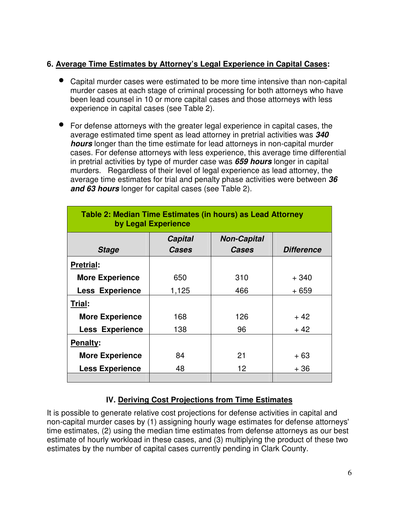# **6. Average Time Estimates by Attorney's Legal Experience in Capital Cases:**

- Capital murder cases were estimated to be more time intensive than non-capital murder cases at each stage of criminal processing for both attorneys who have been lead counsel in 10 or more capital cases and those attorneys with less experience in capital cases (see Table 2).
- For defense attorneys with the greater legal experience in capital cases, the average estimated time spent as lead attorney in pretrial activities was **340 hours** longer than the time estimate for lead attorneys in non-capital murder cases. For defense attorneys with less experience, this average time differential in pretrial activities by type of murder case was **659 hours** longer in capital murders. Regardless of their level of legal experience as lead attorney, the average time estimates for trial and penalty phase activities were between **36 and 63 hours** longer for capital cases (see Table 2).

| Table 2: Median Time Estimates (in hours) as Lead Attorney<br>by Legal Experience |                         |                                    |                   |  |  |  |
|-----------------------------------------------------------------------------------|-------------------------|------------------------------------|-------------------|--|--|--|
| <b>Stage</b>                                                                      | <b>Capital</b><br>Cases | <b>Non-Capital</b><br><b>Cases</b> | <b>Difference</b> |  |  |  |
| <b>Pretrial:</b>                                                                  |                         |                                    |                   |  |  |  |
| <b>More Experience</b>                                                            | 650                     | 310                                | $+340$            |  |  |  |
| <b>Less Experience</b>                                                            | 1,125                   | 466                                | + 659             |  |  |  |
| Trial:                                                                            |                         |                                    |                   |  |  |  |
| <b>More Experience</b>                                                            | 168                     | 126                                | $+42$             |  |  |  |
| <b>Less Experience</b>                                                            | 138                     | 96                                 | $+42$             |  |  |  |
| <b>Penalty:</b>                                                                   |                         |                                    |                   |  |  |  |
| <b>More Experience</b>                                                            | 84                      | 21                                 | $+63$             |  |  |  |
| <b>Less Experience</b>                                                            | 48                      | 12 <sup>2</sup>                    | + 36              |  |  |  |
|                                                                                   |                         |                                    |                   |  |  |  |

# **IV. Deriving Cost Projections from Time Estimates**

It is possible to generate relative cost projections for defense activities in capital and non-capital murder cases by (1) assigning hourly wage estimates for defense attorneys' time estimates, (2) using the median time estimates from defense attorneys as our best estimate of hourly workload in these cases, and (3) multiplying the product of these two estimates by the number of capital cases currently pending in Clark County.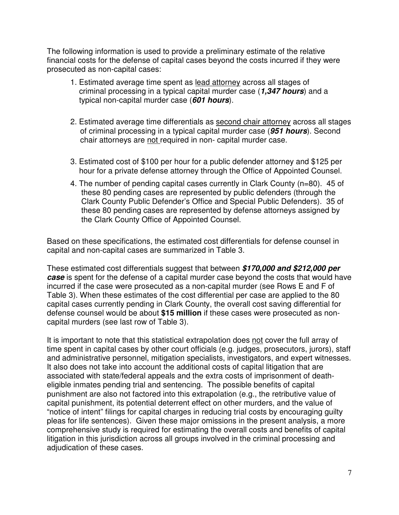The following information is used to provide a preliminary estimate of the relative financial costs for the defense of capital cases beyond the costs incurred if they were prosecuted as non-capital cases:

- 1. Estimated average time spent as lead attorney across all stages of criminal processing in a typical capital murder case (**1,347 hours**) and a typical non-capital murder case (**601 hours**).
- 2. Estimated average time differentials as second chair attorney across all stages of criminal processing in a typical capital murder case (**951 hours**). Second chair attorneys are not required in non- capital murder case.
- 3. Estimated cost of \$100 per hour for a public defender attorney and \$125 per hour for a private defense attorney through the Office of Appointed Counsel.
- 4. The number of pending capital cases currently in Clark County (n=80). 45 of these 80 pending cases are represented by public defenders (through the Clark County Public Defender's Office and Special Public Defenders). 35 of these 80 pending cases are represented by defense attorneys assigned by the Clark County Office of Appointed Counsel.

Based on these specifications, the estimated cost differentials for defense counsel in capital and non-capital cases are summarized in Table 3.

These estimated cost differentials suggest that between **\$170,000 and \$212,000 per case** is spent for the defense of a capital murder case beyond the costs that would have incurred if the case were prosecuted as a non-capital murder (see Rows E and F of Table 3). When these estimates of the cost differential per case are applied to the 80 capital cases currently pending in Clark County, the overall cost saving differential for defense counsel would be about **\$15 million** if these cases were prosecuted as noncapital murders (see last row of Table 3).

It is important to note that this statistical extrapolation does not cover the full array of time spent in capital cases by other court officials (e.g. judges, prosecutors, jurors), staff and administrative personnel, mitigation specialists, investigators, and expert witnesses. It also does not take into account the additional costs of capital litigation that are associated with state/federal appeals and the extra costs of imprisonment of deatheligible inmates pending trial and sentencing. The possible benefits of capital punishment are also not factored into this extrapolation (e.g., the retributive value of capital punishment, its potential deterrent effect on other murders, and the value of "notice of intent" filings for capital charges in reducing trial costs by encouraging guilty pleas for life sentences). Given these major omissions in the present analysis, a more comprehensive study is required for estimating the overall costs and benefits of capital litigation in this jurisdiction across all groups involved in the criminal processing and adjudication of these cases.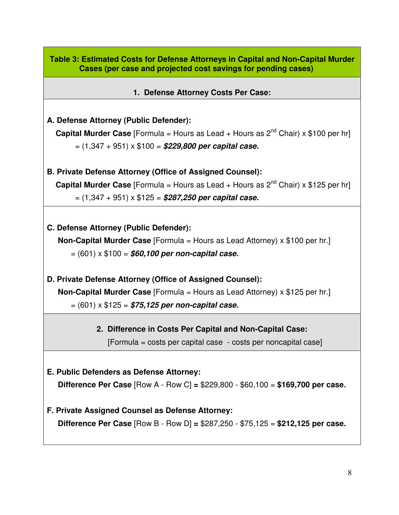**Table 3: Estimated Costs for Defense Attorneys in Capital and Non-Capital Murder Cases (per case and projected cost savings for pending cases)** 

**1. Defense Attorney Costs Per Case:** 

## **A. Defense Attorney (Public Defender):**

**Capital Murder Case** [Formula = Hours as Lead + Hours as  $2^{nd}$  Chair) x \$100 per hr] = (1,347 + 951) x \$100 = **\$229,800 per capital case.** 

**B. Private Defense Attorney (Office of Assigned Counsel):** 

**Capital Murder Case** [Formula = Hours as Lead + Hours as  $2^{nd}$  Chair) x \$125 per hr] = (1,347 + 951) x \$125 = **\$287,250 per capital case.**

**C. Defense Attorney (Public Defender): Non-Capital Murder Case** [Formula = Hours as Lead Attorney) x \$100 per hr.] = (601) x \$100 = **\$60,100 per non-capital case.** 

**D. Private Defense Attorney (Office of Assigned Counsel): Non-Capital Murder Case** [Formula = Hours as Lead Attorney) x \$125 per hr.] = (601) x \$125 = **\$75,125 per non-capital case.**

# **2. Difference in Costs Per Capital and Non-Capital Case:**

[Formula = costs per capital case - costs per noncapital case]

**E. Public Defenders as Defense Attorney:** 

 **Difference Per Case** [Row A - Row C] **=** \$229,800 - \$60,100 = **\$169,700 per case.** 

### **F. Private Assigned Counsel as Defense Attorney:**

 **Difference Per Case** [Row B - Row D] **=** \$287,250 - \$75,125 = **\$212,125 per case.**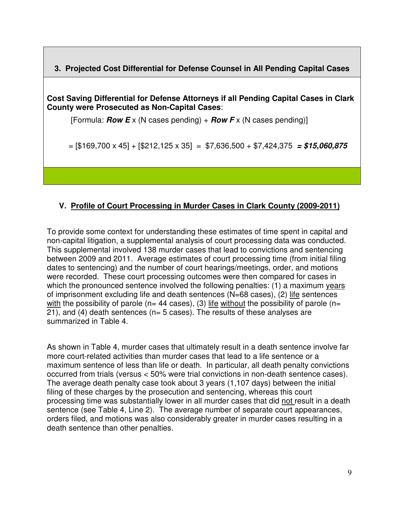**3. Projected Cost Differential for Defense Counsel in All Pending Capital Cases** 

**Cost Saving Differential for Defense Attorneys if all Pending Capital Cases in Clark County were Prosecuted as Non-Capital Cases**:

[Formula: **Row E** x (N cases pending) + **Row F** x (N cases pending)]

= [\$169,700 x 45] + [\$212,125 x 35] = \$7,636,500 + \$7,424,375 **= \$15,060,875** 

# **V. Profile of Court Processing in Murder Cases in Clark County (2009-2011)**

To provide some context for understanding these estimates of time spent in capital and non-capital litigation, a supplemental analysis of court processing data was conducted. This supplemental involved 138 murder cases that lead to convictions and sentencing between 2009 and 2011. Average estimates of court processing time (from initial filing dates to sentencing) and the number of court hearings/meetings, order, and motions were recorded. These court processing outcomes were then compared for cases in which the pronounced sentence involved the following penalties: (1) a maximum years of imprisonment excluding life and death sentences (N=68 cases), (2) life sentences with the possibility of parole ( $n= 44$  cases), (3) life without the possibility of parole ( $n=$ 21), and (4) death sentences ( $n=5$  cases). The results of these analyses are summarized in Table 4.

As shown in Table 4, murder cases that ultimately result in a death sentence involve far more court-related activities than murder cases that lead to a life sentence or a maximum sentence of less than life or death. In particular, all death penalty convictions occurred from trials (versus < 50% were trial convictions in non-death sentence cases). The average death penalty case took about 3 years (1,107 days) between the initial filing of these charges by the prosecution and sentencing, whereas this court processing time was substantially lower in all murder cases that did not result in a death sentence (see Table 4, Line 2). The average number of separate court appearances, orders filed, and motions was also considerably greater in murder cases resulting in a death sentence than other penalties.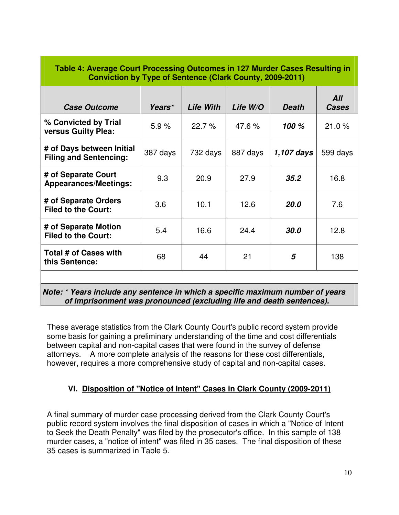| <b>Case Outcome</b>                                        | Years*   | <b>Life With</b> | Life W/O | <b>Death</b> | All<br>Cases |
|------------------------------------------------------------|----------|------------------|----------|--------------|--------------|
| % Convicted by Trial<br>versus Guilty Plea:                | 5.9%     | 22.7%            | 47.6%    | 100 %        | 21.0%        |
| # of Days between Initial<br><b>Filing and Sentencing:</b> | 387 days | 732 days         | 887 days | 1,107 days   | 599 days     |
| # of Separate Court<br><b>Appearances/Meetings:</b>        | 9.3      | 20.9             | 27.9     | 35.2         | 16.8         |
| # of Separate Orders<br><b>Filed to the Court:</b>         | 3.6      | 10.1             | 12.6     | <b>20.0</b>  | 7.6          |
| # of Separate Motion<br><b>Filed to the Court:</b>         | 5.4      | 16.6             | 24.4     | 30.0         | 12.8         |
| Total # of Cases with<br>this Sentence:                    | 68       | 44               | 21       | 5            | 138          |

 **Note: \* Years include any sentence in which a specific maximum number of years of imprisonment was pronounced (excluding life and death sentences).** 

These average statistics from the Clark County Court's public record system provide some basis for gaining a preliminary understanding of the time and cost differentials between capital and non-capital cases that were found in the survey of defense attorneys. A more complete analysis of the reasons for these cost differentials, however, requires a more comprehensive study of capital and non-capital cases.

# **VI. Disposition of "Notice of Intent" Cases in Clark County (2009-2011)**

A final summary of murder case processing derived from the Clark County Court's public record system involves the final disposition of cases in which a "Notice of Intent to Seek the Death Penalty" was filed by the prosecutor's office. In this sample of 138 murder cases, a "notice of intent" was filed in 35 cases. The final disposition of these 35 cases is summarized in Table 5.